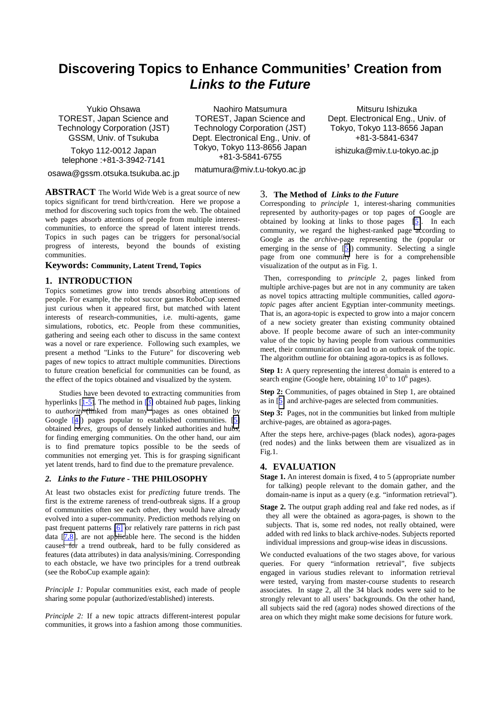# **Discovering Topics to Enhance Communities' Creation from**  *Links to the Future*

Yukio Ohsawa TOREST, Japan Science and Technology Corporation (JST) GSSM, Univ. of Tsukuba

Tokyo 112-0012 Japan telephone :+81-3-3942-7141

osawa@gssm.otsuka.tsukuba.ac.jp

Naohiro Matsumura TOREST, Japan Science and Technology Corporation (JST) Dept. Electronical Eng., Univ. of Tokyo, Tokyo 113-8656 Japan +81-3-5841-6755

matumura@miv.t.u-tokyo.ac.jp

Mitsuru Ishizuka Dept. Electronical Eng., Univ. of Tokyo, Tokyo 113-8656 Japan +81-3-5841-6347

ishizuka@miv.t.u-tokyo.ac.jp

**ABSTRACT** The World Wide Web is a great source of new topics significant for trend birth/creation. Here we propose a method for discovering such topics from the web. The obtained web pages absorb attentions of people from multiple interestcommunities, to enforce the spread of latent interest trends. Topics in such pages can be triggers for personal/social progress of interests, beyond the bounds of existing communities.

## **Keywords: Community, Latent Trend, Topics**

## **1. INTRODUCTION**

Topics sometimes grow into trends absorbing attentions of people. For example, the robot succor games RoboCup seemed just curious when it appeared first, but matched with latent interests of research-communities, i.e. multi-agents, game simulations, robotics, etc. People from these communities, gathering and seeing each other to discuss in the same context was a novel or rare experience. Following such examples, we present a method "Links to the Future" for discovering web pages of new topics to attract multiple communities. Directions to future creation beneficial for communities can be found, as the effect of the topics obtained and visualized by the system.

 Studies have been devoted to extracting communities from hyperlinks [[1-5\]](#page-1-0). The method in [\[3\]](#page-1-0) obtained *hub* pages, linking to *authority*-(linked from many pages as ones obtained by Google [[4\]](#page-1-0)) pages popular to established communities. [\[5\]](#page-1-0) obtained *cores*, groups of densely linked authorities and hubs, for finding emerging communities. On the other hand, our aim is to find premature topics possible to be the seeds of communities not emerging yet. This is for grasping significant yet latent trends, hard to find due to the premature prevalence.

### *2. Links to the Future* **- THE PHILOSOPHY**

At least two obstacles exist for *predicting* future trends. The first is the extreme rareness of trend-outbreak signs. If a group of communities often see each other, they would have already evolved into a super-community. Prediction methods relying on past frequent patterns [\[6\]](#page-1-0) or relatively rare patterns in rich past data [[7,8\]](#page-1-0), are not applicable here. The second is the hidden causes for a trend outbreak, hard to be fully considered as features (data attributes) in data analysis/mining. Corresponding to each obstacle, we have two principles for a trend outbreak (see the RoboCup example again):

*Principle 1:* Popular communities exist, each made of people sharing some popular (authorized/established) interests.

*Principle 2:* If a new topic attracts different-interest popular communities, it grows into a fashion among those communities.

#### 3. **The Method of** *Links to the Future*

Corresponding to *principle* 1, interest-sharing communities represented by authority-pages or top pages of Google are obtained by looking at links to those pages [\[5\]](#page-1-0). In each community, we regard the highest-ranked page according to Google as the *archive*-page representing the (popular or emerging in the sense of  $\lceil 5 \rceil$ ) community. Selecting a single page from one community here is for a comprehensible visualization of the output as in Fig. 1.

 Then, corresponding to *principle* 2, pages linked from multiple archive-pages but are not in any community are taken as novel topics attracting multiple communities, called *agoratopic* pages after ancient Egyptian inter-community meetings. That is, an agora-topic is expected to grow into a major concern of a new society greater than existing community obtained above. If people become aware of such an inter-community value of the topic by having people from various communities meet, their communication can lead to an outbreak of the topic. The algorithm outline for obtaining agora-topics is as follows.

**Step 1:** A query representing the interest domain is entered to a search engine (Google here, obtaining  $10^5$  to  $10^6$  pages).

**Step 2:** Communities, of pages obtained in Step 1, are obtained as in [[5\]](#page-1-0) and archive-pages are selected from communities.

**Step 3:** Pages, not in the communities but linked from multiple archive-pages, are obtained as agora-pages.

After the steps here, archive-pages (black nodes), agora-pages (red nodes) and the links between them are visualized as in Fig.1.

## **4. EVALUATION**

- **Stage 1.** An interest domain is fixed, 4 to 5 (appropriate number for talking) people relevant to the domain gather, and the domain-name is input as a query (e.g. "information retrieval").
- **Stage 2.** The output graph adding real and fake red nodes, as if they all were the obtained as agora-pages, is shown to the subjects. That is, some red nodes, not really obtained, were added with red links to black archive-nodes. Subjects reported individual impressions and group-wise ideas in discussions.

We conducted evaluations of the two stages above, for various queries. For query "information retrieval", five subjects engaged in various studies relevant to information retrieval were tested, varying from master-course students to research associates. In stage 2, all the 34 black nodes were said to be strongly relevant to all users' backgrounds. On the other hand, all subjects said the red (agora) nodes showed directions of the area on which they might make some decisions for future work.